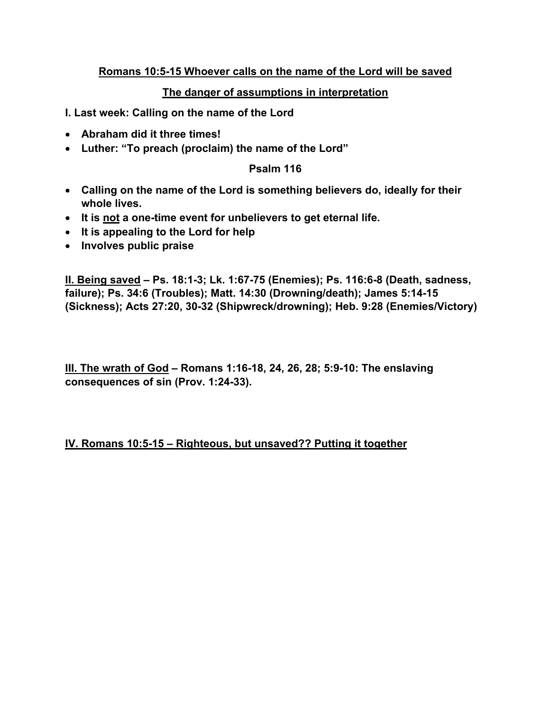# **Romans 10:5-15 Whoever calls on the name of the Lord will be saved**

# **The danger of assumptions in interpretation**

- **I. Last week: Calling on the name of the Lord**
- **Abraham did it three times!**
- **Luther: "To preach (proclaim) the name of the Lord"**

#### **Psalm 116**

- **Calling on the name of the Lord is something believers do, ideally for their whole lives.**
- **It is not a one-time event for unbelievers to get eternal life.**
- **It is appealing to the Lord for help**
- **Involves public praise**

**II. Being saved – Ps. 18:1-3; Lk. 1:67-75 (Enemies); Ps. 116:6-8 (Death, sadness, failure); Ps. 34:6 (Troubles); Matt. 14:30 (Drowning/death); James 5:14-15 (Sickness); Acts 27:20, 30-32 (Shipwreck/drowning); Heb. 9:28 (Enemies/Victory)**

**III. The wrath of God – Romans 1:16-18, 24, 26, 28; 5:9-10: The enslaving consequences of sin (Prov. 1:24-33).**

**IV. Romans 10:5-15 – Righteous, but unsaved?? Putting it together**